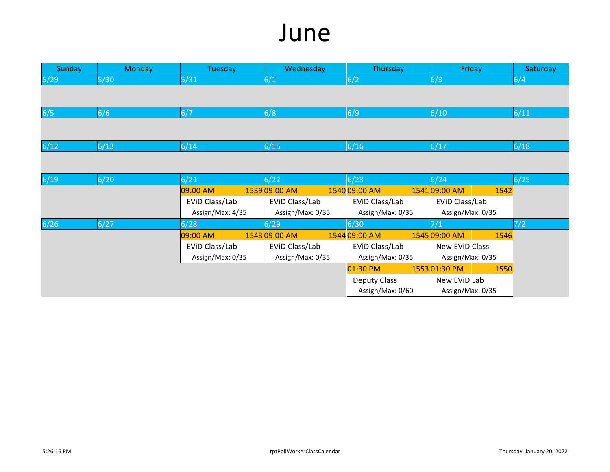## June

| Sunday | <b>Monday</b> | Tuesday          | Wednesday        | Thursday            | Friday           |      | Saturday |
|--------|---------------|------------------|------------------|---------------------|------------------|------|----------|
| 5/29   | $5/30$        | 5/31             | 6/1              | 6/2                 | 6/3              |      | 6/4      |
|        |               |                  |                  |                     |                  |      |          |
| 6/5    | 6/6           | 6/7              | 6/8              | 6/9                 | 6/10             |      | 6/11     |
|        |               |                  |                  |                     |                  |      |          |
| 6/12   | 6/13          | 6/14             | 6/15             | 6/16                | 6/17             |      | 6/18     |
|        |               |                  |                  |                     |                  |      |          |
|        |               |                  |                  |                     |                  |      |          |
| 6/19   | $6/20$        | 6/21             | 6/22             | 6/23                | 6/24             |      | 6/25     |
|        |               | 09:00 AM         | 153909:00 AM     | 1540 09:00 AM       | 154109:00 AM     | 1542 |          |
|        |               | EVID Class/Lab   | EVID Class/Lab   | EVID Class/Lab      | EVID Class/Lab   |      |          |
|        |               | Assign/Max: 4/35 | Assign/Max: 0/35 | Assign/Max: 0/35    | Assign/Max: 0/35 |      |          |
| $6/26$ | 6/27          | 6/28             | 6/29             | 6/30                | 7/1              |      | 7/2      |
|        |               | 09:00 AM         | 1543 09:00 AM    | 1544 09:00 AM       | 1545 09:00 AM    | 1546 |          |
|        |               | EVID Class/Lab   | EVID Class/Lab   | EVID Class/Lab      | New EVID Class   |      |          |
|        |               | Assign/Max: 0/35 | Assign/Max: 0/35 | Assign/Max: 0/35    | Assign/Max: 0/35 |      |          |
|        |               |                  |                  | 01:30 PM            | 155301:30 PM     | 1550 |          |
|        |               |                  |                  | <b>Deputy Class</b> | New EVID Lab     |      |          |
|        |               |                  |                  | Assign/Max: 0/60    | Assign/Max: 0/35 |      |          |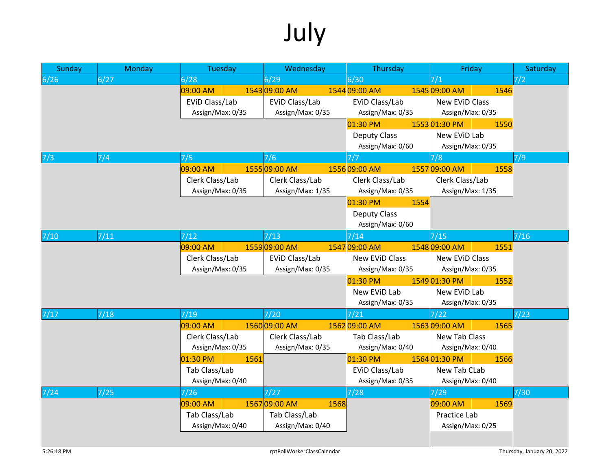## July

| 6/27<br>6/28<br>6/29<br>6/30<br>7/1<br>7/2<br>1545 09:00 AM<br>09:00 AM<br>1543 09:00 AM<br>1544 09:00 AM<br>1546<br>EVID Class/Lab<br>EVID Class/Lab<br>EVID Class/Lab<br><b>New EVID Class</b><br>Assign/Max: 0/35<br>Assign/Max: 0/35<br>Assign/Max: 0/35<br>Assign/Max: 0/35<br>01:30 PM<br>155301:30 PM<br>1550<br>New EVID Lab<br><b>Deputy Class</b><br>Assign/Max: 0/60<br>Assign/Max: 0/35<br>7/4<br>7/5<br>7/9<br>7/6<br>7/8<br>7/7<br>09:00 AM<br>155509:00 AM<br>1556 09:00 AM<br>155709:00 AM<br>1558<br>Clerk Class/Lab<br>Clerk Class/Lab<br>Clerk Class/Lab<br>Clerk Class/Lab<br>Assign/Max: 0/35<br>Assign/Max: 1/35<br>Assign/Max: 0/35<br>Assign/Max: 1/35<br>01:30 PM<br>1554<br><b>Deputy Class</b><br>Assign/Max: 0/60<br>7/16<br>7/11<br>7/12<br>$\frac{7}{13}$<br>7/14<br>7/15<br>155909:00 AM<br>1547 09:00 AM<br>1548 09:00 AM<br>09:00 AM<br>1551<br>Clerk Class/Lab<br>New EVID Class<br>New EVID Class<br>EVID Class/Lab<br>Assign/Max: 0/35<br>Assign/Max: 0/35<br>Assign/Max: 0/35<br>Assign/Max: 0/35<br>01:30 PM<br>154901:30 PM<br>1552<br>New EVID Lab<br>New EVID Lab<br>Assign/Max: 0/35<br>Assign/Max: 0/35<br>7/18<br>7/19<br>$7/20$<br>7/23<br>7/21<br>7/22<br>156309:00 AM<br>09:00 AM<br>156009:00 AM<br>1562 09:00 AM<br>1565<br>Clerk Class/Lab<br><b>New Tab Class</b><br>Clerk Class/Lab<br>Tab Class/Lab<br>Assign/Max: 0/35<br>Assign/Max: 0/35<br>Assign/Max: 0/40<br>Assign/Max: 0/40<br>156401:30 PM<br>01:30 PM<br>01:30 PM<br>1561<br>1566<br>Tab Class/Lab<br>EVID Class/Lab<br>New Tab CLab<br>Assign/Max: 0/40<br>Assign/Max: 0/35<br>Assign/Max: 0/40<br>7/25<br>7/28<br>7/30<br>7/24<br>7/26<br>7/27<br>7/29<br>156709:00 AM<br>09:00 AM<br>1568<br>09:00 AM<br>1569<br>Tab Class/Lab<br>Tab Class/Lab<br>Practice Lab<br>Assign/Max: 0/40<br>Assign/Max: 0/40<br>Assign/Max: 0/25 | Sunday | Monday | Tuesday | Wednesday | Thursday | Friday | Saturday |
|-----------------------------------------------------------------------------------------------------------------------------------------------------------------------------------------------------------------------------------------------------------------------------------------------------------------------------------------------------------------------------------------------------------------------------------------------------------------------------------------------------------------------------------------------------------------------------------------------------------------------------------------------------------------------------------------------------------------------------------------------------------------------------------------------------------------------------------------------------------------------------------------------------------------------------------------------------------------------------------------------------------------------------------------------------------------------------------------------------------------------------------------------------------------------------------------------------------------------------------------------------------------------------------------------------------------------------------------------------------------------------------------------------------------------------------------------------------------------------------------------------------------------------------------------------------------------------------------------------------------------------------------------------------------------------------------------------------------------------------------------------------------------------------------------------------------------------------------------|--------|--------|---------|-----------|----------|--------|----------|
|                                                                                                                                                                                                                                                                                                                                                                                                                                                                                                                                                                                                                                                                                                                                                                                                                                                                                                                                                                                                                                                                                                                                                                                                                                                                                                                                                                                                                                                                                                                                                                                                                                                                                                                                                                                                                                               | 6/26   |        |         |           |          |        |          |
|                                                                                                                                                                                                                                                                                                                                                                                                                                                                                                                                                                                                                                                                                                                                                                                                                                                                                                                                                                                                                                                                                                                                                                                                                                                                                                                                                                                                                                                                                                                                                                                                                                                                                                                                                                                                                                               |        |        |         |           |          |        |          |
|                                                                                                                                                                                                                                                                                                                                                                                                                                                                                                                                                                                                                                                                                                                                                                                                                                                                                                                                                                                                                                                                                                                                                                                                                                                                                                                                                                                                                                                                                                                                                                                                                                                                                                                                                                                                                                               |        |        |         |           |          |        |          |
|                                                                                                                                                                                                                                                                                                                                                                                                                                                                                                                                                                                                                                                                                                                                                                                                                                                                                                                                                                                                                                                                                                                                                                                                                                                                                                                                                                                                                                                                                                                                                                                                                                                                                                                                                                                                                                               |        |        |         |           |          |        |          |
|                                                                                                                                                                                                                                                                                                                                                                                                                                                                                                                                                                                                                                                                                                                                                                                                                                                                                                                                                                                                                                                                                                                                                                                                                                                                                                                                                                                                                                                                                                                                                                                                                                                                                                                                                                                                                                               |        |        |         |           |          |        |          |
|                                                                                                                                                                                                                                                                                                                                                                                                                                                                                                                                                                                                                                                                                                                                                                                                                                                                                                                                                                                                                                                                                                                                                                                                                                                                                                                                                                                                                                                                                                                                                                                                                                                                                                                                                                                                                                               |        |        |         |           |          |        |          |
|                                                                                                                                                                                                                                                                                                                                                                                                                                                                                                                                                                                                                                                                                                                                                                                                                                                                                                                                                                                                                                                                                                                                                                                                                                                                                                                                                                                                                                                                                                                                                                                                                                                                                                                                                                                                                                               |        |        |         |           |          |        |          |
|                                                                                                                                                                                                                                                                                                                                                                                                                                                                                                                                                                                                                                                                                                                                                                                                                                                                                                                                                                                                                                                                                                                                                                                                                                                                                                                                                                                                                                                                                                                                                                                                                                                                                                                                                                                                                                               | 7/3    |        |         |           |          |        |          |
|                                                                                                                                                                                                                                                                                                                                                                                                                                                                                                                                                                                                                                                                                                                                                                                                                                                                                                                                                                                                                                                                                                                                                                                                                                                                                                                                                                                                                                                                                                                                                                                                                                                                                                                                                                                                                                               |        |        |         |           |          |        |          |
|                                                                                                                                                                                                                                                                                                                                                                                                                                                                                                                                                                                                                                                                                                                                                                                                                                                                                                                                                                                                                                                                                                                                                                                                                                                                                                                                                                                                                                                                                                                                                                                                                                                                                                                                                                                                                                               |        |        |         |           |          |        |          |
|                                                                                                                                                                                                                                                                                                                                                                                                                                                                                                                                                                                                                                                                                                                                                                                                                                                                                                                                                                                                                                                                                                                                                                                                                                                                                                                                                                                                                                                                                                                                                                                                                                                                                                                                                                                                                                               |        |        |         |           |          |        |          |
|                                                                                                                                                                                                                                                                                                                                                                                                                                                                                                                                                                                                                                                                                                                                                                                                                                                                                                                                                                                                                                                                                                                                                                                                                                                                                                                                                                                                                                                                                                                                                                                                                                                                                                                                                                                                                                               |        |        |         |           |          |        |          |
|                                                                                                                                                                                                                                                                                                                                                                                                                                                                                                                                                                                                                                                                                                                                                                                                                                                                                                                                                                                                                                                                                                                                                                                                                                                                                                                                                                                                                                                                                                                                                                                                                                                                                                                                                                                                                                               |        |        |         |           |          |        |          |
|                                                                                                                                                                                                                                                                                                                                                                                                                                                                                                                                                                                                                                                                                                                                                                                                                                                                                                                                                                                                                                                                                                                                                                                                                                                                                                                                                                                                                                                                                                                                                                                                                                                                                                                                                                                                                                               |        |        |         |           |          |        |          |
|                                                                                                                                                                                                                                                                                                                                                                                                                                                                                                                                                                                                                                                                                                                                                                                                                                                                                                                                                                                                                                                                                                                                                                                                                                                                                                                                                                                                                                                                                                                                                                                                                                                                                                                                                                                                                                               | $7/10$ |        |         |           |          |        |          |
|                                                                                                                                                                                                                                                                                                                                                                                                                                                                                                                                                                                                                                                                                                                                                                                                                                                                                                                                                                                                                                                                                                                                                                                                                                                                                                                                                                                                                                                                                                                                                                                                                                                                                                                                                                                                                                               |        |        |         |           |          |        |          |
|                                                                                                                                                                                                                                                                                                                                                                                                                                                                                                                                                                                                                                                                                                                                                                                                                                                                                                                                                                                                                                                                                                                                                                                                                                                                                                                                                                                                                                                                                                                                                                                                                                                                                                                                                                                                                                               |        |        |         |           |          |        |          |
|                                                                                                                                                                                                                                                                                                                                                                                                                                                                                                                                                                                                                                                                                                                                                                                                                                                                                                                                                                                                                                                                                                                                                                                                                                                                                                                                                                                                                                                                                                                                                                                                                                                                                                                                                                                                                                               |        |        |         |           |          |        |          |
|                                                                                                                                                                                                                                                                                                                                                                                                                                                                                                                                                                                                                                                                                                                                                                                                                                                                                                                                                                                                                                                                                                                                                                                                                                                                                                                                                                                                                                                                                                                                                                                                                                                                                                                                                                                                                                               |        |        |         |           |          |        |          |
|                                                                                                                                                                                                                                                                                                                                                                                                                                                                                                                                                                                                                                                                                                                                                                                                                                                                                                                                                                                                                                                                                                                                                                                                                                                                                                                                                                                                                                                                                                                                                                                                                                                                                                                                                                                                                                               |        |        |         |           |          |        |          |
|                                                                                                                                                                                                                                                                                                                                                                                                                                                                                                                                                                                                                                                                                                                                                                                                                                                                                                                                                                                                                                                                                                                                                                                                                                                                                                                                                                                                                                                                                                                                                                                                                                                                                                                                                                                                                                               |        |        |         |           |          |        |          |
|                                                                                                                                                                                                                                                                                                                                                                                                                                                                                                                                                                                                                                                                                                                                                                                                                                                                                                                                                                                                                                                                                                                                                                                                                                                                                                                                                                                                                                                                                                                                                                                                                                                                                                                                                                                                                                               | 7/17   |        |         |           |          |        |          |
|                                                                                                                                                                                                                                                                                                                                                                                                                                                                                                                                                                                                                                                                                                                                                                                                                                                                                                                                                                                                                                                                                                                                                                                                                                                                                                                                                                                                                                                                                                                                                                                                                                                                                                                                                                                                                                               |        |        |         |           |          |        |          |
|                                                                                                                                                                                                                                                                                                                                                                                                                                                                                                                                                                                                                                                                                                                                                                                                                                                                                                                                                                                                                                                                                                                                                                                                                                                                                                                                                                                                                                                                                                                                                                                                                                                                                                                                                                                                                                               |        |        |         |           |          |        |          |
|                                                                                                                                                                                                                                                                                                                                                                                                                                                                                                                                                                                                                                                                                                                                                                                                                                                                                                                                                                                                                                                                                                                                                                                                                                                                                                                                                                                                                                                                                                                                                                                                                                                                                                                                                                                                                                               |        |        |         |           |          |        |          |
|                                                                                                                                                                                                                                                                                                                                                                                                                                                                                                                                                                                                                                                                                                                                                                                                                                                                                                                                                                                                                                                                                                                                                                                                                                                                                                                                                                                                                                                                                                                                                                                                                                                                                                                                                                                                                                               |        |        |         |           |          |        |          |
|                                                                                                                                                                                                                                                                                                                                                                                                                                                                                                                                                                                                                                                                                                                                                                                                                                                                                                                                                                                                                                                                                                                                                                                                                                                                                                                                                                                                                                                                                                                                                                                                                                                                                                                                                                                                                                               |        |        |         |           |          |        |          |
|                                                                                                                                                                                                                                                                                                                                                                                                                                                                                                                                                                                                                                                                                                                                                                                                                                                                                                                                                                                                                                                                                                                                                                                                                                                                                                                                                                                                                                                                                                                                                                                                                                                                                                                                                                                                                                               |        |        |         |           |          |        |          |
|                                                                                                                                                                                                                                                                                                                                                                                                                                                                                                                                                                                                                                                                                                                                                                                                                                                                                                                                                                                                                                                                                                                                                                                                                                                                                                                                                                                                                                                                                                                                                                                                                                                                                                                                                                                                                                               |        |        |         |           |          |        |          |
|                                                                                                                                                                                                                                                                                                                                                                                                                                                                                                                                                                                                                                                                                                                                                                                                                                                                                                                                                                                                                                                                                                                                                                                                                                                                                                                                                                                                                                                                                                                                                                                                                                                                                                                                                                                                                                               |        |        |         |           |          |        |          |
|                                                                                                                                                                                                                                                                                                                                                                                                                                                                                                                                                                                                                                                                                                                                                                                                                                                                                                                                                                                                                                                                                                                                                                                                                                                                                                                                                                                                                                                                                                                                                                                                                                                                                                                                                                                                                                               |        |        |         |           |          |        |          |
|                                                                                                                                                                                                                                                                                                                                                                                                                                                                                                                                                                                                                                                                                                                                                                                                                                                                                                                                                                                                                                                                                                                                                                                                                                                                                                                                                                                                                                                                                                                                                                                                                                                                                                                                                                                                                                               |        |        |         |           |          |        |          |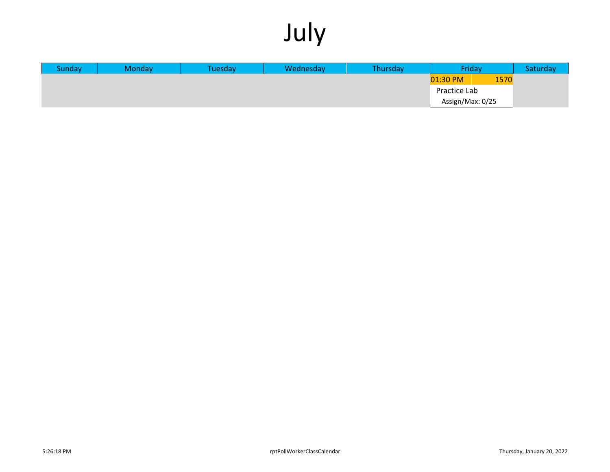## July

| <b>Sunday</b> | <b>Monday</b> | Tuesday\ | Wednesday | Thursday | Friday           |      | Saturday |
|---------------|---------------|----------|-----------|----------|------------------|------|----------|
|               |               |          |           |          | $01:30$ PM       | 1570 |          |
|               |               |          |           |          | Practice Lab     |      |          |
|               |               |          |           |          | Assign/Max: 0/25 |      |          |